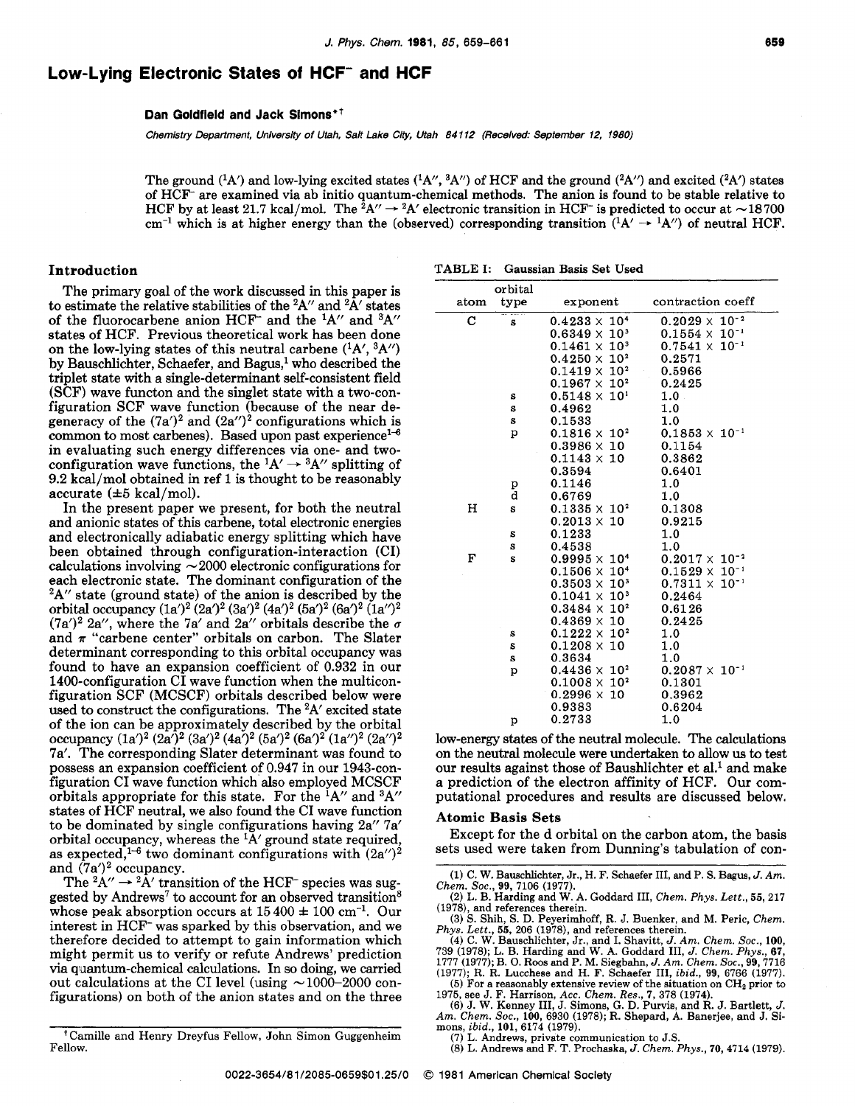# Low-Lying Electronic States of HCF<sup>-</sup> and HCF

**Dan Goldfield and Jack Simons"** 

*Chemistry Department, University of Utah, Salt Lake City, Utah 84112 (Recelved: September 12, 1980)* 

The ground (<sup>1</sup>A') and low-lying excited states (<sup>1</sup>A'', <sup>3</sup>A'') of HCF and the ground (<sup>2</sup>A'') and excited (<sup>2</sup>A') states of HCF- are examined via ab initio quantum-chemical methods. The anion is found to be stable relative to The ground (<sup>1</sup>A') and low-lying excited states (<sup>1</sup>A'', <sup>3</sup>A'') of HCF and the ground (<sup>2</sup>A'') and excited (<sup>2</sup>A') states of HCF<sup>-</sup> are examined via ab initio quantum-chemical methods. The anion is found to be stable rel of HCF<sup>-</sup> are examined via ab initio quantum-chemical methods. The anion is found to be stable relative to HCF by at least 21.7 kcal/mol. The <sup>2</sup>A''  $\rightarrow$  <sup>2</sup>A' electronic transition in HCF<sup>-</sup> is predicted to occur at  $\sim$ 

The primary goal of the work discussed in this paper is to estimate the relative stabilities of the  ${}^{2}A''$  and  ${}^{2}\bar{A}'$  states of the fluorocarbene anion HCF<sup>-</sup> and the  ${}^{1}$ A $'$  and  ${}^{3}$ A $''$ states of HCF. Previous theoretical work has been done on the low-lying states of this neutral carbene  $({}^{1}A',{}^{3}A'')$ by Bauschlichter, Schaefer, and Bagus,<sup>1</sup> who described the triplet state with a single-determinant self-consistent field **(SCF)** wave functon and the singlet state with a two-configuration SCF wave function (because of the near degeneracy of the  $(7a')^2$  and  $(2a'')^2$  configurations which is common to most carbenes). Based upon past experience<sup>1-6</sup> in evaluating such energy differences via one- and twoconfiguration wave functions, the  ${}^{1}A' \rightarrow {}^{3}A''$  splitting of 9.2 kcal/mol obtained in ref 1 is thought to be reasonably accurate  $(\pm 5 \text{ kcal/mol})$ .

In the present paper we present, for both the neutral and anionic states of this carbene, total electronic energies and electronically adiabatic energy splitting which have been obtained through configuration-interaction (CI)  $\alpha$  been obtained through configuration-interaction (CI) calculations involving  $\sim$  2000 electronic configurations for each electronic state. The dominant configuration of the  $2A''$  state (ground state) of the anion is described by the orbital occupancy  $(1a')^2 (2a')^2 (3a')^2 (4a')^2 (5a')^2 (6a')^2 (1a'')^2$ (7a')<sup>2</sup> 2a'', where the 7a' and 2a'' orbitals describe the  $\sigma$ and  $\pi$  "carbene center" orbitals on carbon. The Slater determinant corresponding to this orbital occupancy was found to have an expansion coefficient of 0.932 in our 1400-configuration CI wave function when the multiconfiguration SCF (MCSCF) orbitals described below were used to construct the configurations. The 2A' excited state of the ion can be approximately described by the orbital occupancy  $(1a')^2 (2a')^2 (3a')^2 (4a')^2 (5a')^2 (6a')^2 (1a'')^2 (2a'')^2$ 7a'. The corresponding Slater determinant was found to possess an expansion coefficient of 0.947 in our 1943-configuration CI wave function which also employed MCSCF orbitals appropriate for this state. For the  ${}^{1}$ A" and  ${}^{3}$ A" states of HCF neutral, we also found the CI wave function to be dominated by single configurations having 2a" 7a' orbital occupancy, whereas the  ${}^{1}\text{A}'$  ground state required, as expected,<sup>1-6</sup> two dominant configurations with  $(2a'')^2$ and  $(7a')^2$  occupancy.

The  ${}^2A'' \rightarrow {}^2A'$  transition of the HCF<sup>-</sup> species was suggested by Andrews<sup>7</sup> to account for an observed transition<sup>8</sup> whose peak absorption occurs at  $15\,400 \pm 100$  cm<sup>-1</sup>. Our interest in HCF- was sparked by this observation, and we therefore decided to attempt to gain information which might permit us to verify or refute Andrews' prediction wia quantum-chemical calculations. In so doing, we carried out calculations at the CI level (using  $\sim 1000-2000$  conout calculations at the CI level (using  $\sim$  1000–2000 configurations) on both of the anion states and on the three

Camille and Henry Dreyfus Fellow, John Simon Guggenheim Fellow.

| Introduction |  | TABLE I: Gaussian Basis Set Used |
|--------------|--|----------------------------------|
|--------------|--|----------------------------------|

| atom | orbital<br>type | exponent                | contraction coeff       |
|------|-----------------|-------------------------|-------------------------|
|      |                 |                         |                         |
| C    | S               | $0.4233 \times 10^{4}$  | $0.2029 \times 10^{-2}$ |
|      |                 | $0.6349 \times 10^{3}$  | $0.1554 \times 10^{-1}$ |
|      |                 | $0.1461 \times 10^{3}$  | $0.7541 \times 10^{-1}$ |
|      |                 | $0.4250 \times 10^{2}$  | 0.2571                  |
|      |                 | $0.1419 \times 10^{2}$  | 0.5966                  |
|      |                 | $0.1967 \times 10^{2}$  | 0.2425                  |
|      | s               | $0.5148 \times 10^{1}$  | 1.0                     |
|      | s               | 0.4962                  | 1.0                     |
|      | s               | 0.1533                  | 1.0                     |
|      | p               | $0.1816 \times 10^{2}$  | $0.1853 \times 10^{-1}$ |
|      |                 | $0.3986 \times 10^{-7}$ | 0.1154                  |
|      |                 | $0.1143 \times 10$      | 0.3862                  |
|      |                 | 0.3594                  | 0.6401                  |
|      | p               | 0.1146                  | 1.0                     |
|      | d               | 0.6769                  | 1.0                     |
| н    | s               | $0.1335 \times 10^{2}$  | 0.1308                  |
|      |                 | $0.2013 \times 10$      | 0.9215                  |
|      | S               | 0.1233                  | 1.0                     |
|      | S               | 0.4538                  | 1.0                     |
| F    | S               | $0.9995 \times 10^{4}$  | $0.2017 \times 10^{-2}$ |
|      |                 | $0.1506 \times 10^{4}$  | $0.1529 \times 10^{-1}$ |
|      |                 | $0.3503 \times 10^{3}$  | $0.7311 \times 10^{-1}$ |
|      |                 | $0.1041 \times 10^{3}$  | 0.2464                  |
|      |                 | $0.3484 \times 10^{2}$  | 0.6126                  |
|      |                 | $0.4369 \times 10$      | 0.2425                  |
|      | s               | $0.1222 \times 10^{2}$  | 1.0                     |
|      | S               | $0.1208 \times 10$      | 1.0                     |
|      | S               | 0.3634                  | 1.0                     |
|      | p               | $0.4436 \times 10^{2}$  | $0.2087\times 10^{-1}$  |
|      |                 | $0.1008 \times 10^{2}$  | 0.1301                  |
|      |                 | 0.2996 x<br>10          | 0.3962                  |
|      |                 | 0.9383                  | 0.6204                  |
|      | p               | 0.2733                  | 1.0                     |

low-energy states of the neutral molecule. The calculations on the neutral molecule were undertaken to **allow** us to test our results against those of Baushlichter et al.<sup>1</sup> and make a prediction of the electron affinity of HCF. Our computational procedures and results are discussed below.

#### **Atomic Basis Sets**

Except for the d orbital on the carbon atom, the basis sets used were taken from Dunning's tabulation of con-

mons, *ibid.,* **101, 6174 (1979).** 

**(7) L.** Andrews, private communication to J.S. (8) L. Andrews **and** F. T. Prochaska, *J.* Chem. *Phys.,* **70, 4714 (1979).** 

**<sup>(1)</sup> C. W.** Bauschlichter, Jr., H. F. Schaefer **111,** and P. s. **Bagus,** *J. Am. Chem. SOC.,* **99, 7106 (1977).** 

**<sup>(2)</sup> L.** B. Harding and W. A. Goddard **111,** *Chem. Phvs. Lett.,* **55, 217 (1978),** and references therein. **(3)** S. Shih, **S.** D. Peyerimhoff, R. J. Buenker, and M. Peric, Chem.

*Phys.* Lett., **55, 206 (1978),** and references therein.

**<sup>(4)</sup> C. W.** Bauschlichter, Jr., and I. Shavitt, J. *Am. Chem. SOC.,* **100, 739 (1978); L. B.** Harding and W. A. Goddard **111,** J. *Chem. Phys.,* **67, 1777 (1977); B. 0. Roos** and P. M. Siegbahn, *J. Am. Chem. SOC.,* **99,7716** 

**<sup>(1977);</sup>** R. R. Lucchese and H. F. Schaefer **111,** *ibid.,* **99, 6766 (1977).** 

<sup>(5)</sup> For a reasonably extensive review of the situation on  $CH_2$  prior to 1975, see J. F. Harrison, Acc. Chem. Res., 7, 378 (1974).<br>(6) J. W. Kenney III, J. Simons, G. D. Purvis, and R. J. Bartlett, J. Am. Chem. Soc., 100,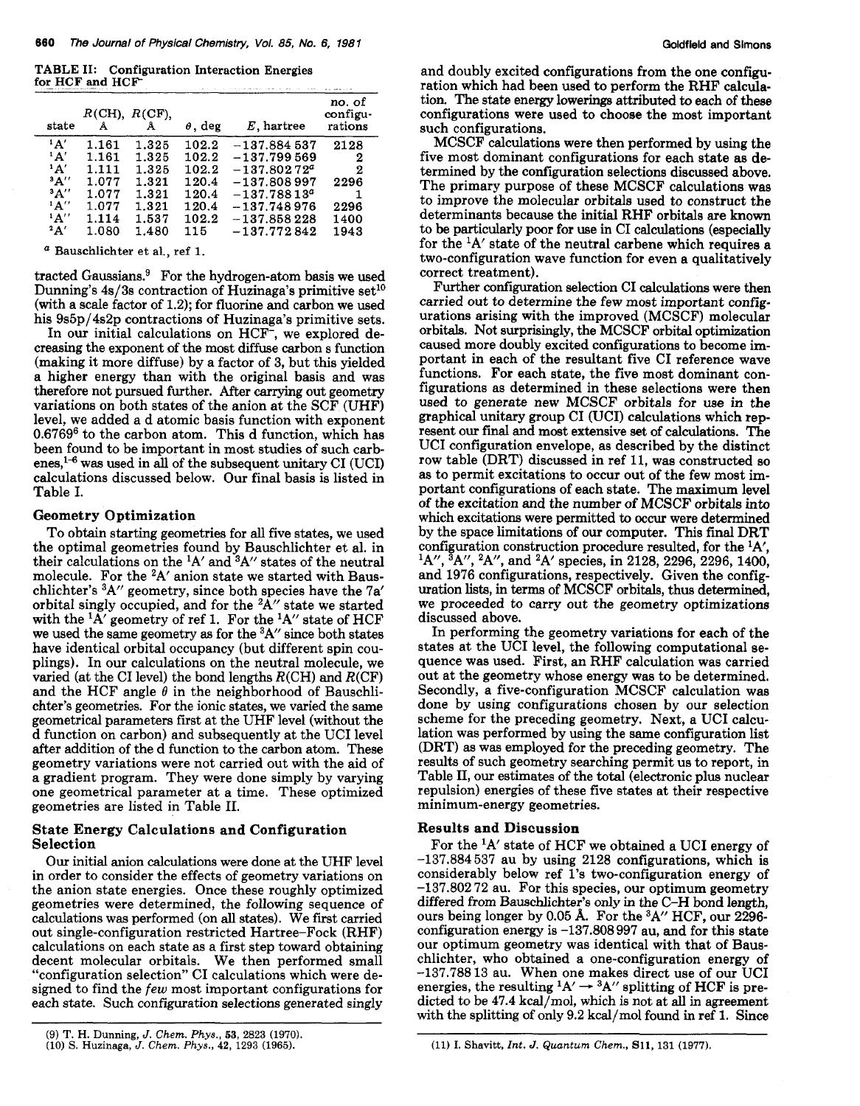**TABLE 11: Configuration Interaction Energies for-HCF and HCF** 

| state     | Å     | $R$ (CH), $R$ (CF),<br>Å | $\theta$ , deg | $E$ , hartree    | no. of<br>configu-<br>rations |
|-----------|-------|--------------------------|----------------|------------------|-------------------------------|
| $^1$ A'   | 1.161 | 1.325                    | 102.2          | $-137.884537$    | 2128                          |
| $^1$ A'   | 1.161 | 1.325                    | 102.2          | $-137.799569$    | 2                             |
| $\Delta'$ | 1.111 | 1.325                    | 102.2          | $-137.80272^a$   | 2                             |
| A''       | 1.077 | 1.321                    | 120.4          | $-137.808997$    | 2296                          |
| A''       | 1.077 | 1.321                    | 120.4          | $-137.78813^{a}$ |                               |
| A''       | 1.077 | 1.321                    | 120.4          | $-137.748976$    | 2296                          |
| $^1$ A''  | 1.114 | 1.537                    | 102.2          | $-137.858228$    | 1400                          |
| 2A'       | 1.080 | 1.480                    | 115.           | $-137.772842$    | 1943                          |

*a* **Bauschlichter et al., ref 1.** 

tracted Gaussians? For the hydrogen-atom basis we used Dunning's  $4s/3s$  contraction of Huzinaga's primitive set<sup>10</sup> (with a scale factor of **1.2);** for fluorine and carbon we used his **9s5p/4s2p** contractions of Huzinaga's primitive sets.

In our initial calculations on HCF<sup>-</sup>, we explored decreasing the exponent of the most diffuse carbon s function (making it more diffuse) by a factor of **3,** but this yielded a higher energy than with the original basis and was therefore not pursued further. After *canying* out geometry variations on both states of the anion at the SCF (UHF) level, we added a d atomic basis function with exponent **0.676g6** to the carbon atom. This d function, which has been found to be important in most studies of such carbenes,<sup>1-6</sup> was used in all of the subsequent unitary CI (UCI) calculations discussed below. Our final basis is listed in Table I.

#### Geometry Optimization

To obtain starting geometries for **all** five states, we used the optimal geometries found by Bauschlichter et al. in their calculations on the  ${}^{1}A'$  and  ${}^{3}A''$  states of the neutral molecule. For the 2A' anion state we started with Bauschlichter's 3A" geometry, since both species have the **7a'**  orbital singly occupied, and for the 2A" state we started with the lA' geometry of ref **1.** For the lA" state of HCF we used the same geometry **as** for the **3A"** since both states have identical orbital occupancy (but different spin couplings). In our calculations on the neutral molecule, we varied (at the CI level) the bond lengths  $R(CH)$  and  $R(CF)$ and the HCF angle  $\theta$  in the neighborhood of Bauschlichter's geometries. For the ionic states, we varied the same geometrical parameters first at the UHF level (without the d function on carbon) and subsequently at the UCI level after addition of the d function to the carbon atom. These geometry variations were not carried out with the aid of a gradient program. They were done simply by varying one geometrical parameter at a time. These optimized geometries are listed in Table 11.

# State Energy Calculations and Configuration **Selection**

**Our** initial anion calculations were done at the UHF level in order to consider the effects of geometry variations on the anion state energies. Once these roughly optimized geometries were determined, the following sequence of calculations was performed (on **all** states). We first carried out single-configuration restricted Hartree-Fock (RHF) calculations on each state as a first step toward obtaining decent molecular orbitals. We then performed small "configuration selection" CI calculations which were designed to find the *few* most important configurations for each state. Such configuration selections generated singly

and doubly excited configurations from the one configuration which had been used to perform the RHF calculation. The state energy lowerings attributed to each of these configurations were used to choose the most important such configurations.

MCSCF calculations were then performed by using the five most dominant configurations for each state as determined by the configuration selections discussed above. The primary purpose of these MCSCF calculations was to improve the molecular orbitals used to construct the determinants because the initial RHF orbitals are known to be particularly poor for use in CI calculations (especially for the  ${}^{1}$ A' state of the neutral carbene which requires a two-configuration wave function for even a qualitatively correct treatment).

Further configuration selection CI calculations were then carried out to determine the few most important configurations arising with the improved (MCSCF) molecular orbitals. Not surprisingly, the MCSCF orbital optimization caused more doubly excited configurations to become important in each of the resultant five CI reference wave functions. For each state, the five most dominant configurations as determined in these selections were then used to generate new MCSCF orbitals for use in the graphical unitary group CI (UCI) calculations which represent our final and most extensive set of calculations. The UCI configuration envelope, as described by the distinct row table (DRT) discussed in ref **11,** was constructed so as to permit excitations to occur out of the few most important configurations of each **state.** The maximum level of the excitation and the number of MCSCF orbitals into which excitations were permitted to occur were determined by the space limitations of our computer. This final DRT configuration construction procedure resulted, for the <sup>1</sup>A', <sup>1</sup>A", <sup>3</sup>A", <sup>2</sup>A", and <sup>2</sup>A' species, in 2128, 2296, 2296, 1400, and **1976** configurations, respectively. Given the configuration **lists,** in terms of MCSCF orbitals, thus determined, we proceeded to carry out the geometry optimizations discussed above.

In performing the geometry variations for each of the states at the UCI level, the following computational sequence was used. First, an RHF calculation was carried out at the geometry whose energy was to be determined. Secondly, a five-configuration MCSCF calculation was done by using configurations chosen by our selection scheme for the preceding geometry, Next, a UCI calculation was performed by using the same configuration list (DRT) as was employed for the preceding geometry. The results of such geometry searching permit us to report, in Table 11, our estimates of the **total** (electronic plus nuclear repulsion) energies of these five states at their respective minimum-energy geometries.

## Results and Discussion

For the <sup>1</sup>A' state of HCF we obtained a UCI energy of **-137.884537** au by using **2128** configurations, which is considerably below ref **1's** two-configuration energy of **-137.802 72** au. For this species, our optimum geometry differed from Bauschlichter's *only* in the C-H bond length, ours being longer by **0.05 A.** For the **3A"** HCF, our **2296**  configuration energy is **-137.808 997** au, and for this state our optimum geometry was identical with that of Bauschlichter, who obtained a one-configuration energy of **-137.788 13** au. When one makes direct use of our UCI energies, the resulting  ${}^{1}\text{A}^{\prime} \rightarrow {}^{3}\text{A}^{\prime\prime}$  splitting of HCF is predicted to be **47.4** kcal/mol, which is not at **all** in agreement with the splitting of only 9.2 kcal/mol found in ref 1. Since

**<sup>(9)</sup> T. H.** Dunning, *J. Chem. Phys.,* **53, 2823 (1970).** 

**<sup>(10)</sup>** *S.* **Huzinaga,** *J. Chem. Phys.,* **42, 1293 (1965).** 

<sup>(11)</sup> I. Shavitt, *Int. J. Quantum Chem.*, **S11**, 131 (1977).